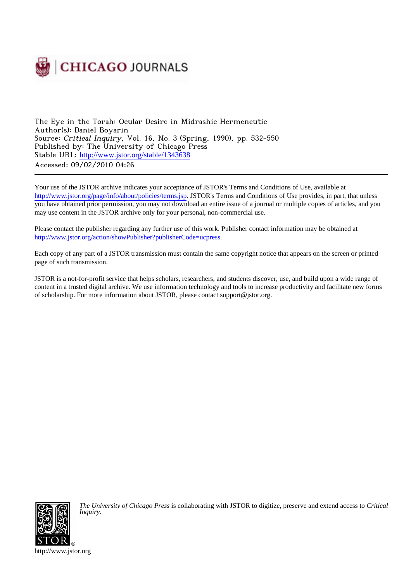

The Eye in the Torah: Ocular Desire in Midrashic Hermeneutic Author(s): Daniel Boyarin Source: Critical Inquiry, Vol. 16, No. 3 (Spring, 1990), pp. 532-550 Published by: The University of Chicago Press Stable URL: [http://www.jstor.org/stable/1343638](http://www.jstor.org/stable/1343638?origin=JSTOR-pdf) Accessed: 09/02/2010 04:26

Your use of the JSTOR archive indicates your acceptance of JSTOR's Terms and Conditions of Use, available at <http://www.jstor.org/page/info/about/policies/terms.jsp>. JSTOR's Terms and Conditions of Use provides, in part, that unless you have obtained prior permission, you may not download an entire issue of a journal or multiple copies of articles, and you may use content in the JSTOR archive only for your personal, non-commercial use.

Please contact the publisher regarding any further use of this work. Publisher contact information may be obtained at [http://www.jstor.org/action/showPublisher?publisherCode=ucpress.](http://www.jstor.org/action/showPublisher?publisherCode=ucpress)

Each copy of any part of a JSTOR transmission must contain the same copyright notice that appears on the screen or printed page of such transmission.

JSTOR is a not-for-profit service that helps scholars, researchers, and students discover, use, and build upon a wide range of content in a trusted digital archive. We use information technology and tools to increase productivity and facilitate new forms of scholarship. For more information about JSTOR, please contact support@jstor.org.



*The University of Chicago Press* is collaborating with JSTOR to digitize, preserve and extend access to *Critical Inquiry.*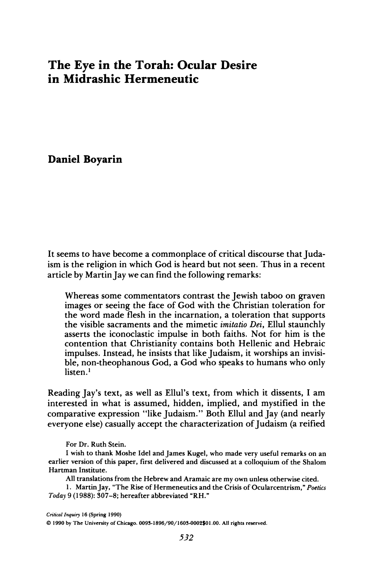## **The Eye in the Torah: Ocular Desire in Midrashic Hermeneutic**

## **Daniel Boyarin**

**It seems to have become a commonplace of critical discourse that Judaism is the religion in which God is heard but not seen. Thus in a recent article by Martin Jay we can find the following remarks:** 

**Whereas some commentators contrast the Jewish taboo on graven images or seeing the face of God with the Christian toleration for the word made flesh in the incarnation, a toleration that supports the visible sacraments and the mimetic imitatio Dei, Ellul staunchly asserts the iconoclastic impulse in both faiths. Not for him is the contention that Christianity contains both Hellenic and Hebraic impulses. Instead, he insists that like Judaism, it worships an invisible, non-theophanous God, a God who speaks to humans who only listen.'** 

**Reading Jay's text, as well as Ellul's text, from which it dissents, I am interested in what is assumed, hidden, implied, and mystified in the comparative expression "like Judaism." Both Ellul and Jay (and nearly everyone else) casually accept the characterization of Judaism (a reified** 

**For Dr. Ruth Stein.** 

**I wish to thank Moshe Idel and James Kugel, who made very useful remarks on an earlier version of this paper, first delivered and discussed at a colloquium of the Shalom Hartman Institute.** 

**All translations from the Hebrew and Aramaic are my own unless otherwise cited.** 

**1. Martin Jay, "The Rise of Hermeneutics and the Crisis of Ocularcentrism," Poetics Today 9 (1988): 307-8; hereafter abbreviated "RH."** 

**Critical Inquiry 16 (Spring 1990)** 

**? 1990 by The University of Chicago. 0093-1896/90/1603-0002\$01.00. All rights reserved.**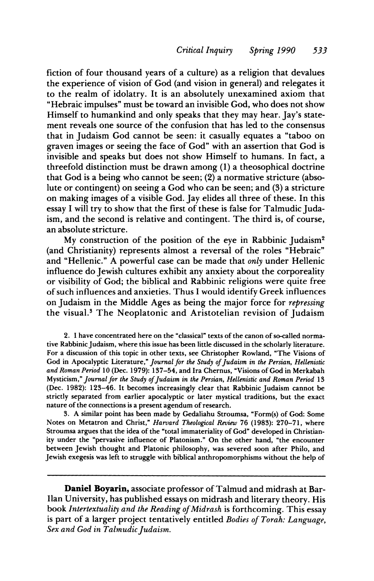**fiction of four thousand years of a culture) as a religion that devalues the experience of vision of God (and vision in general) and relegates it to the realm of idolatry. It is an absolutely unexamined axiom that "Hebraic impulses" must be toward an invisible God, who does not show Himself to humankind and only speaks that they may hear. Jay's statement reveals one source of the confusion that has led to the consensus that in Judaism God cannot be seen: it casually equates a "taboo on graven images or seeing the face of God" with an assertion that God is invisible and speaks but does not show Himself to humans. In fact, a threefold distinction must be drawn among (1) a theosophical doctrine that God is a being who cannot be seen; (2) a normative stricture (absolute or contingent) on seeing a God who can be seen; and (3) a stricture on making images of a visible God. Jay elides all three of these. In this essay I will try to show that the first of these is false for Talmudic Judaism, and the second is relative and contingent. The third is, of course, an absolute stricture.** 

**My construction of the position of the eye in Rabbinic Judaism2 (and Christianity) represents almost a reversal of the roles "Hebraic" and "Hellenic." A powerful case can be made that only under Hellenic influence do Jewish cultures exhibit any anxiety about the corporeality or visibility of God; the biblical and Rabbinic religions were quite free of such influences and anxieties. Thus I would identify Greek influences on Judaism in the Middle Ages as being the major force for repressing the visual.3 The Neoplatonic and Aristotelian revision of Judaism** 

**2. I have concentrated here on the "classical" texts of the canon of so-called normative Rabbinic Judaism, where this issue has been little discussed in the scholarly literature. For a discussion of this topic in other texts, see Christopher Rowland, "The Visions of God in Apocalyptic Literature," Journal for the Study of Judaism in the Persian, Hellenistic and Roman Period 10 (Dec. 1979): 137-54, and Ira Chernus, "Visions of God in Merkabah Mysticism," Journal for the Study of Judaism in the Persian, Hellenistic and Roman Period 13 (Dec. 1982): 123-46. It becomes increasingly clear that Rabbinic Judaism cannot be strictly separated from earlier apocalyptic or later mystical traditions, but the exact nature of the connections is a present agendum of research.** 

**3. A similar point has been made by Gedaliahu Stroumsa, "Form(s) of God: Some Notes on Metatron and Christ," Harvard Theological Review 76 (1983): 270-71, where Stroumsa argues that the idea of the "total immateriality of God" developed in Christianity under the "pervasive influence of Platonism." On the other hand, "the encounter between Jewish thought and Platonic philosophy, was severed soon after Philo, and Jewish exegesis was left to struggle with biblical anthropomorphisms without the help of** 

**Daniel Boyarin, associate professor of Talmud and midrash at Bar-Ilan University, has published essays on midrash and literary theory. His book Intertextuality and the Reading of Midrash is forthcoming. This essay is part of a larger project tentatively entitled Bodies of Torah: Language,**  Sex and God in Talmudic Judaism.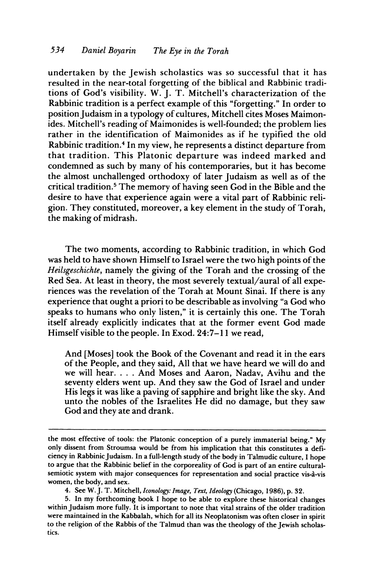**undertaken by the Jewish scholastics was so successful that it has resulted in the near-total forgetting of the biblical and Rabbinic traditions of God's visibility. W. J. T. Mitchell's characterization of the Rabbinic tradition is a perfect example of this "forgetting." In order to position Judaism in a typology of cultures, Mitchell cites Moses Maimonides. Mitchell's reading of Maimonides is well-founded; the problem lies rather in the identification of Maimonides as if he typified the old Rabbinic tradition.4 In my view, he represents a distinct departure from that tradition. This Platonic departure was indeed marked and condemned as such by many of his contemporaries, but it has become the almost unchallenged orthodoxy of later Judaism as well as of the critical tradition.5 The memory of having seen God in the Bible and the desire to have that experience again were a vital part of Rabbinic religion. They constituted, moreover, a key element in the study of Torah, the making of midrash.** 

**The two moments, according to Rabbinic tradition, in which God was held to have shown Himself to Israel were the two high points of the Heilsgeschichte, namely the giving of the Torah and the crossing of the Red Sea. At least in theory, the most severely textual/aural of all experiences was the revelation of the Torah at Mount Sinai. If there is any experience that ought a priori to be describable as involving "a God who speaks to humans who only listen," it is certainly this one. The Torah itself already explicitly indicates that at the former event God made Himself visible to the people. In Exod. 24:7-11 we read,** 

**And [Moses] took the Book of the Covenant and read it in the ears of the People, and they said, All that we have heard we will do and we will hear .... And Moses and Aaron, Nadav, Avihu and the seventy elders went up. And they saw the God of Israel and under His legs it was like a paving of sapphire and bright like the sky. And unto the nobles of the Israelites He did no damage, but they saw God and they ate and drank.** 

**the most effective of tools: the Platonic conception of a purely immaterial being." My only dissent from Stroumsa would be from his implication that this constitutes a deficiency in Rabbinic Judaism. In a full-length study of the body in Talmudic culture, I hope to argue that the Rabbinic belief in the corporeality of God is part of an entire culturalsemiotic system with major consequences for representation and social practice vis-a-vis women, the body, and sex.** 

**<sup>4.</sup> See W. J. T. Mitchell, Iconology: Image, Text, Ideology (Chicago, 1986), p. 32.** 

**<sup>5.</sup> In my forthcoming book I hope to be able to explore these historical changes within Judaism more fully. It is important to note that vital strains of the older tradition were maintained in the Kabbalah, which for all its Neoplatonism was often closer in spirit to the religion of the Rabbis of the Talmud than was the theology of the Jewish scholastics.**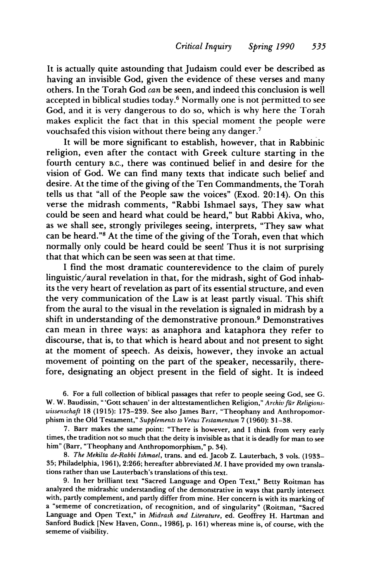**It is actually quite astounding that Judaism could ever be described as having an invisible God, given the evidence of these verses and many others. In the Torah God can be seen, and indeed this conclusion is well accepted in biblical studies today.6 Normally one is not permitted to see God, and it is very dangerous to do so, which is why here the Torah makes explicit the fact that in this special moment the people were vouchsafed this vision without there being any danger.7** 

**It will be more significant to establish, however, that in Rabbinic religion, even after the contact with Greek culture starting in the fourth century B.C., there was continued belief in and desire for the vision of God. We can find many texts that indicate such belief and desire. At the time of the giving of the Ten Commandments, the Torah tells us that "all of the People saw the voices" (Exod. 20:14). On this verse the midrash comments, "Rabbi Ishmael says, They saw what could be seen and heard what could be heard," but Rabbi Akiva, who, as we shall see, strongly privileges seeing, interprets, "They saw what can be heard."8 At the time of the giving of the Torah, even that which normally only could be heard could be seen! Thus it is not surprising that that which can be seen was seen at that time.** 

**I find the most dramatic counterevidence to the claim of purely linguistic/aural revelation in that, for the midrash, sight of God inhabits the very heart of revelation as part of its essential structure, and even the very communication of the Law is at least partly visual. This shift from the aural to the visual in the revelation is signaled in midrash by a shift in understanding of the demonstrative pronoun.9 Demonstratives can mean in three ways: as anaphora and kataphora they refer to discourse, that is, to that which is heard about and not present to sight at the moment of speech. As deixis, however, they invoke an actual movement of pointing on the part of the speaker, necessarily, therefore, designating an object present in the field of sight. It is indeed** 

**6. For a full collection of biblical passages that refer to people seeing God, see G.**  W. W. Baudissin, "'Gott schauen' in der alttestamentlichen Religion," Archiv für Religions**wissenschaft 18 (1915): 173-239. See also James Barr, "Theophany and Anthropomorphism in the Old Testament," Supplements to Vetus Testamentum 7 (1960): 31-38.** 

**7. Barr makes the same point: "There is however, and I think from very early times, the tradition not so much that the deity is invisible as that it is deadly for man to see him" (Barr, "Theophany and Anthropomorphism," p. 34).** 

**8. The Mekilta de-Rabbi Ishmael, trans. and ed. Jacob Z. Lauterbach, 3 vols. (1933- 35; Philadelphia, 1961), 2:266; hereafter abbreviated M. I have provided my own translations rather than use Lauterbach's translations of this text.** 

**9. In her brilliant text "Sacred Language and Open Text," Betty Roitman has analyzed the midrashic understanding of the demonstrative in ways that partly intersect with, partly complement, and partly differ from mine. Her concern is with its marking of a "sememe of concretization, of recognition, and of singularity" (Roitman, "Sacred Language and Open Text," in Midrash and Literature, ed. Geoffrey H. Hartman and Sanford Budick [New Haven, Conn., 1986], p. 161) whereas mine is, of course, with the sememe of visibility.**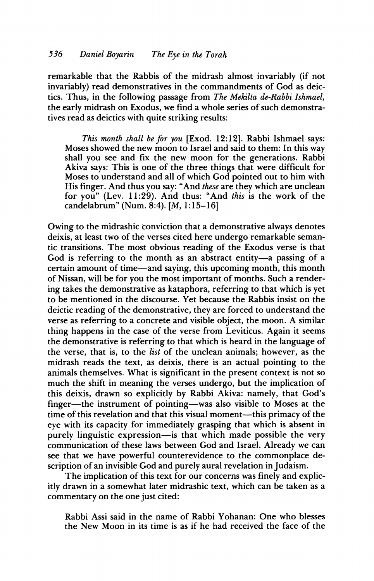**remarkable that the Rabbis of the midrash almost invariably (if not invariably) read demonstratives in the commandments of God as deictics. Thus, in the following passage from The Mekilta de-Rabbi Ishmael, the early midrash on Exodus, we find a whole series of such demonstratives read as deictics with quite striking results:** 

**This month shall be for you [Exod. 12:12]. Rabbi Ishmael says: Moses showed the new moon to Israel and said to them: In this way shall you see and fix the new moon for the generations. Rabbi Akiva says: This is one of the three things that were difficult for Moses to understand and all of which God pointed out to him with His finger. And thus you say: "And these are they which are unclean for you" (Lev. 11:29). And thus: "And this is the work of the candelabrum" (Num. 8:4). [M, 1:15-16]** 

**Owing to the midrashic conviction that a demonstrative always denotes deixis, at least two of the verses cited here undergo remarkable semantic transitions. The most obvious reading of the Exodus verse is that**  God is referring to the month as an abstract entity-a passing of a **certain amount of time-and saying, this upcoming month, this month of Nissan, will be for you the most important of months. Such a rendering takes the demonstrative as kataphora, referring to that which is yet to be mentioned in the discourse. Yet because the Rabbis insist on the deictic reading of the demonstrative, they are forced to understand the verse as referring to a concrete and visible object, the moon. A similar thing happens in the case of the verse from Leviticus. Again it seems the demonstrative is referring to that which is heard in the language of the verse, that is, to the list of the unclean animals; however, as the midrash reads the text, as deixis, there is an actual pointing to the animals themselves. What is significant in the present context is not so much the shift in meaning the verses undergo, but the implication of this deixis, drawn so explicitly by Rabbi Akiva: namely, that God's**  finger—the instrument of pointing—was also visible to Moses at the time of this revelation and that this visual moment-this primacy of the **eye with its capacity for immediately grasping that which is absent in**  purely linguistic expression-is that which made possible the very **communication of these laws between God and Israel. Already we can see that we have powerful counterevidence to the commonplace description of an invisible God and purely aural revelation in Judaism.** 

**The implication of this text for our concerns was finely and explicitly drawn in a somewhat later midrashic text, which can be taken as a commentary on the one just cited:** 

**Rabbi Assi said in the name of Rabbi Yohanan: One who blesses the New Moon in its time is as if he had received the face of the**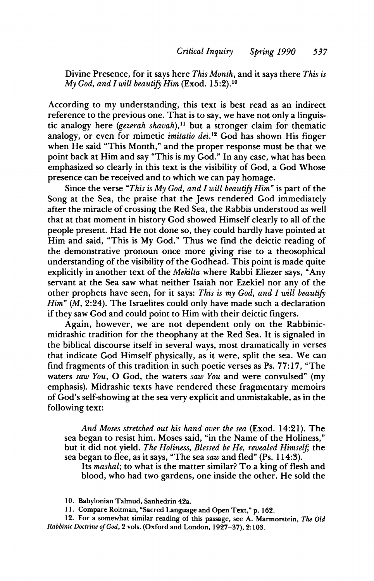**Divine Presence, for it says here This Month, and it says there This is**  My God, and I will beautify Him (Exod. 15:2).<sup>10</sup>

**According to my understanding, this text is best read as an indirect reference to the previous one. That is to say, we have not only a linguistic analogy here (gezerah shavah)," but a stronger claim for thematic analogy, or even for mimetic imitatio dei.'2 God has shown His finger when He said "This Month," and the proper response must be that we point back at Him and say "This is my God." In any case, what has been emphasized so clearly in this text is the visibility of God, a God Whose presence can be received and to which we can pay homage.** 

**Since the verse "This is My God, and I will beautify Him" is part of the Song at the Sea, the praise that the Jews rendered God immediately after the miracle of crossing the Red Sea, the Rabbis understood as well that at that moment in history God showed Himself clearly to all of the people present. Had He not done so, they could hardly have pointed at Him and said, "This is My God." Thus we find the deictic reading of the demonstrative pronoun once more giving rise to a theosophical understanding of the visibility of the Godhead. This point is made quite explicitly in another text of the Mekilta where Rabbi Eliezer says, "Any servant at the Sea saw what neither Isaiah nor Ezekiel nor any of the**  other prophets have seen, for it says: This is my God, and I will beautify **Him" (M, 2:24). The Israelites could only have made such a declaration if they saw God and could point to Him with their deictic fingers.** 

**Again, however, we are not dependent only on the Rabbinicmidrashic tradition for the theophany at the Red Sea. It is signaled in the biblical discourse itself in several ways, most dramatically in verses that indicate God Himself physically, as it were, split the sea. We can find fragments of this tradition in such poetic verses as Ps. 77:17, "The waters saw You, 0 God, the waters saw You and were convulsed" (my emphasis). Midrashic texts have rendered these fragmentary memoirs of God's self-showing at the sea very explicit and unmistakable, as in the following text:** 

**And Moses stretched out his hand over the sea (Exod. 14:21). The sea began to resist him. Moses said, "in the Name of the Holiness,"**  but it did not yield. The Holiness, Blessed be He, revealed Himself; the **sea began to flee, as it says, "The sea saw and fled" (Ps. 114:3).** 

**Its mashal; to what is the matter similar? To a king of flesh and blood, who had two gardens, one inside the other. He sold the** 

- **10. Babylonian Talmud, Sanhedrin 42a.**
- **11. Compare Roitman, "Sacred Language and Open Text," p. 162.**
- **12. For a somewhat similar reading of this passage, see A. Marmorstein, The Old Rabbinic Doctrine of God, 2 vols. (Oxford and London, 1927-37), 2:103.**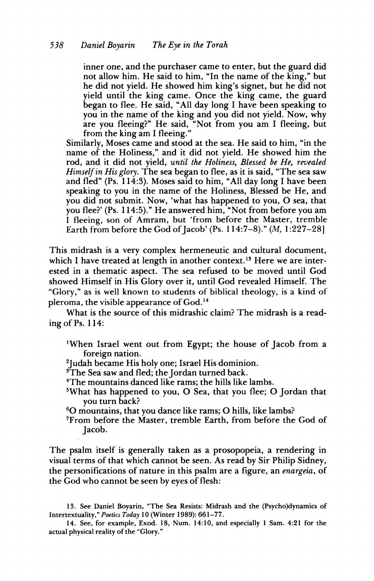**inner one, and the purchaser came to enter, but the guard did not allow him. He said to him, "In the name of the king," but he did not yield. He showed him king's signet, but he did not yield until the king came. Once the king came, the guard began to flee. He said, "All day long I have been speaking to you in the name of the king and you did not yield. Now, why are you fleeing?" He said, "Not from you am I fleeing, but from the king am I fleeing."** 

**Similarly, Moses came and stood at the sea. He said to him, "in the name of the Holiness," and it did not yield. He showed him the rod, and it did not yield, until the Holiness, Blessed be He, revealed Himself in His glory. The sea began to flee, as it is said, "The sea saw and fled" (Ps. 114:3). Moses said to him, "All day long I have been speaking to you in the name of the Holiness, Blessed be He, and you did not submit. Now, 'what has happened to you, O sea, that you flee?' (Ps. 114:5)." He answered him, "Not from before you am I fleeing, son of Amram, but 'from before the Master, tremble**  Earth from before the God of Jacob' (Ps. 114:7-8)." (*M*, 1:227-28]

**This midrash is a very complex hermeneutic and cultural document,**  which I have treated at length in another context.<sup>13</sup> Here we are inter**ested in a thematic aspect. The sea refused to be moved until God showed Himself in His Glory over it, until God revealed Himself. The "Glory," as is well known to students of biblical theology, is a kind of pleroma, the visible appearance of God.'4** 

**What is the source of this midrashic claim? The midrash is a reading of Ps. 114:** 

- **'When Israel went out from Egypt; the house of Jacob from a foreign nation.**
- **2Judah became His holy one; Israel His dominion.**
- **3The Sea saw and fled; the Jordan turned back.**
- **4The mountains danced like rams; the hills like lambs.**
- **5What has happened to you, O Sea, that you flee; 0 Jordan that you turn back?**
- **<sup>60</sup>mountains, that you dance like rams; O hills, like lambs?**
- **7From before the Master, tremble Earth, from before the God of Jacob.**

**The psalm itself is generally taken as a prosopopeia, a rendering in visual terms of that which cannot be seen. As read by Sir Philip Sidney, the personifications of nature in this psalm are a figure, an enargeia, of the God who cannot be seen by eyes of flesh:** 

**<sup>13.</sup> See Daniel Boyarin, "The Sea Resists: Midrash and the (Psycho)dynamics of Intertextuality," Poetics Today 10 (Winter 1989): 661-77.** 

**<sup>14.</sup> See, for example, Exod. 18, Num. 14:10, and especially 1 Sam. 4:21 for the actual physical reality of the "Glory."**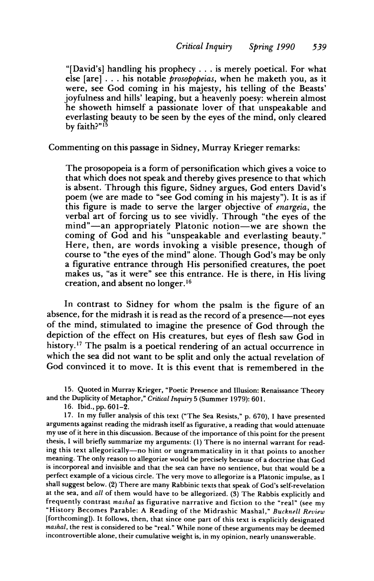**"[David's] handling his prophecy ... is merely poetical. For what else [are] . . . his notable prosopopeias, when he maketh you, as it were, see God coming in his majesty, his telling of the Beasts' joyfulness and hills' leaping, but a heavenly poesy: wherein almost he showeth himself a passionate lover of that unspeakable and everlasting beauty to be seen by the eyes of the mind, only cleared by faith?"'5** 

**Commenting on this passage in Sidney, Murray Krieger remarks:** 

**The prosopopeia is a form of personification which gives a voice to that which does not speak and thereby gives presence to that which is absent. Through this figure, Sidney argues, God enters David's poem (we are made to "see God coming in his majesty"). It is as if this figure is made to serve the larger objective of enargeia, the verbal art of forcing us to see vividly. Through "the eyes of the**  mind"—an appropriately Platonic notion—we are shown the **coming of God and his "unspeakable and everlasting beauty." Here, then, are words invoking a visible presence, though of course to "the eyes of the mind" alone. Though God's may be only a figurative entrance through His personified creatures, the poet makes us, "as it were" see this entrance. He is there, in His living creation, and absent no longer.'6** 

In contrast to Sidney for whom the psalm is the figure of an absence, for the midrash it is read as the record of a presence—not eyes of the mind, stimulated to imagine the presence of God through the **depiction of the effect on His creatures, but eyes of flesh saw God in history.'7 The psalm is a poetical rendering of an actual occurrence in which the sea did not want to be split and only the actual revelation of God convinced it to move. It is this event that is remembered in the** 

**15. Quoted in Murray Krieger, "Poetic Presence and Illusion: Renaissance Theory and the Duplicity of Metaphor," Critical Inquiry 5 (Summer 1979): 601.** 

**16. Ibid., pp. 601-2.** 

**17. In my fuller analysis of this text ("The Sea Resists," p. 670), I have presented arguments against reading the midrash itself as figurative, a reading that would attenuate my use of it here in this discussion. Because of the importance of this point for the present thesis, I will briefly summarize my arguments: (1) There is no internal warrant for reading this text allegorically-no hint or ungrammaticality in it that points to another meaning. The only reason to allegorize would be precisely because of a doctrine that God is incorporeal and invisible and that the sea can have no sentience, but that would be a perfect example of a vicious circle. The very move to allegorize is a Platonic impulse, as I shall suggest below. (2) There are many Rabbinic texts that speak of God's self-revelation at the sea, and all of them would have to be allegorized. (3) The Rabbis explicitly and frequently contrast mashal as figurative narrative and fiction to the "real" (see my "History Becomes Parable: A Reading of the Midrashic Mashal," Bucknell Review [forthcoming]). It follows, then, that since one part of this text is explicitly designated mashal, the rest is considered to be "real." While none of these arguments may be deemed incontrovertible alone, their cumulative weight is, in my opinion, nearly unanswerable.**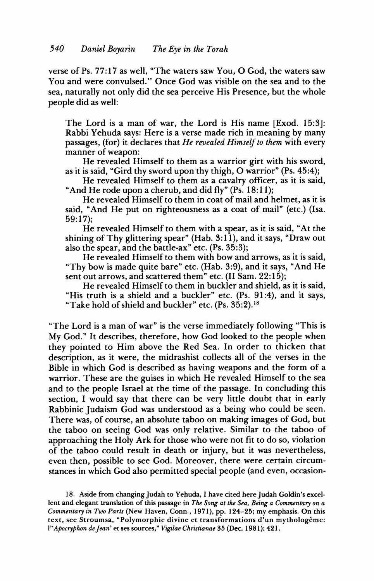**verse of Ps. 77:17 as well, "The waters saw You, O God, the waters saw You and were convulsed." Once God was visible on the sea and to the sea, naturally not only did the sea perceive His Presence, but the whole people did as well:** 

**The Lord is a man of war, the Lord is His name [Exod. 15:3]: Rabbi Yehuda says: Here is a verse made rich in meaning by many passages, (for) it declares that He revealed Himself to them with every manner of weapon:** 

**He revealed Himself to them as a warrior girt with his sword, as it is said, "Gird thy sword upon thy thigh, O warrior" (Ps. 45:4);** 

**He revealed Himself to them as a cavalry officer, as it is said, "And He rode upon a cherub, and did fly" (Ps. 18:11);** 

**He revealed Himself to them in coat of mail and helmet, as it is said, "And He put on righteousness as a coat of mail" (etc.) (Isa. 59:17);** 

**He revealed Himself to them with a spear, as it is said, "At the shining of Thy glittering spear" (Hab. 3:11), and it says, "Draw out also the spear, and the battle-ax" etc. (Ps. 35:3);** 

**He revealed Himself to them with bow and arrows, as it is said, "Thy bow is made quite bare" etc. (Hab. 3:9), and it says, "And He sent out arrows, and scattered them" etc. (II Sam. 22:15);** 

**He revealed Himself to them in buckler and shield, as it is said, "His truth is a shield and a buckler" etc. (Ps. 91:4), and it says, "Take hold of shield and buckler" etc. (Ps. 35:2).18** 

**"The Lord is a man of war" is the verse immediately following "This is My God." It describes, therefore, how God looked to the people when they pointed to Him above the Red Sea. In order to thicken that description, as it were, the midrashist collects all of the verses in the Bible in which God is described as having weapons and the form of a warrior. These are the guises in which He revealed Himself to the sea and to the people Israel at the time of the passage. In concluding this section, I would say that there can be very little doubt that in early Rabbinic Judaism God was understood as a being who could be seen. There was, of course, an absolute taboo on making images of God, but the taboo on seeing God was only relative. Similar to the taboo of approaching the Holy Ark for those who were not fit to do so, violation of the taboo could result in death or injury, but it was nevertheless, even then, possible to see God. Moreover, there were certain circumstances in which God also permitted special people (and even, occasion-**

**18. Aside from changing Judah to Yehuda, I have cited here Judah Goldin's excellent and elegant translation of this passage in The Song at the Sea, Being a Commentary on a Commentary in Two Parts (New Haven, Conn., 1971), pp. 124-25; my emphasis. On this text, see Stroumsa, "Polymorphie divine et transformations d'un mythologeme:**  l''Apocryphon de Jean' et ses sources," Vigilae Christianae 35 (Dec. 1981): 421.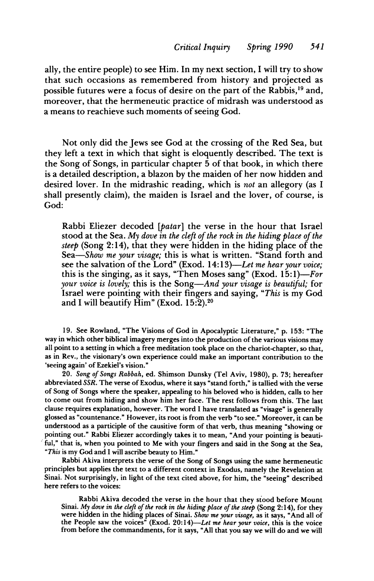**ally, the entire people) to see Him. In my next section, I will try to show that such occasions as remembered from history and projected as possible futures were a focus of desire on the part of the Rabbis,19 and, moreover, that the hermeneutic practice of midrash was understood as a means to reachieve such moments of seeing God.** 

**Not only did the Jews see God at the crossing of the Red Sea, but they left a text in which that sight is eloquently described. The text is the Song of Songs, in particular chapter 5 of that book, in which there is a detailed description, a blazon by the maiden of her now hidden and desired lover. In the midrashic reading, which is not an allegory (as I shall presently claim), the maiden is Israel and the lover, of course, is God:** 

**Rabbi Eliezer decoded [patar] the verse in the hour that Israel stood at the Sea. My dove in the cleft of the rock in the hiding place of the steep (Song 2:14), that they were hidden in the hiding place of the Sea-Show me your visage; this is what is written. "Stand forth and**  see the salvation of the Lord" (Exod. 14:13)—Let me hear your voice; **this is the singing, as it says, "Then Moses sang" (Exod. 15:1)-For**  your voice is lovely; this is the Song—And your visage is beautiful; for **Israel were pointing with their fingers and saying, "This is my God and I will beautify Him" (Exod. 15:2).20** 

**19. See Rowland, "The Visions of God in Apocalyptic Literature," p. 153: "The way in which other biblical imagery merges into the production of the various visions may all point to a setting in which a free meditation took place on the chariot-chapter, so that, as in Rev., the visionary's own experience could make an important contribution to the 'seeing again' of Ezekiel's vision."** 

**20. Song of Songs Rabbah, ed. Shimson Dunsky (Tel Aviv, 1980), p. 73; hereafter abbreviated SSR. The verse of Exodus, where it says "stand forth," is tallied with the verse of Song of Songs where the speaker, appealing to his beloved who is hidden, calls to her to come out from hiding and show him her face. The rest follows from this. The last clause requires explanation, however. The word I have translated as "visage" is generally glossed as "countenance." However, its root is from the verb "to see." Moreover, it can be understood as a participle of the causitive form of that verb, thus meaning "showing or pointing out." Rabbi Eliezer accordingly takes it to mean, "And your pointing is beautiful," that is, when you pointed to Me with your fingers and said in the Song at the Sea, "This is my God and I will ascribe beauty to Him."** 

**Rabbi Akiva interprets the verse of the Song of Songs using the same hermeneutic principles but applies the text to a different context in Exodus, namely the Revelation at Sinai. Not surprisingly, in light of the text cited above, for him, the "seeing" described here refers to the voices:** 

**Rabbi Akiva decoded the verse in the hour that they stood before Mount Sinai. My dove in the cleft of the rock in the hiding place of the steep (Song 2:14), for they were hidden in the hiding places of Sinai. Show me your visage, as it says, "And all of the People saw the voices" (Exod. 20:14)-Let me hear your voice, this is the voice from before the commandments, for it says, "All that you say we will do and we will**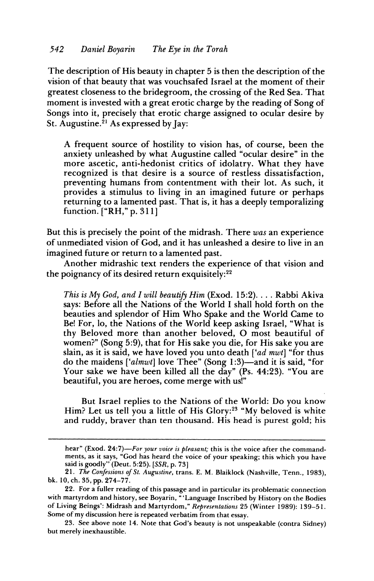**The description of His beauty in chapter 5 is then the description of the vision of that beauty that was vouchsafed Israel at the moment of their greatest closeness to the bridegroom, the crossing of the Red Sea. That moment is invested with a great erotic charge by the reading of Song of Songs into it, precisely that erotic charge assigned to ocular desire by St. Augustine.21 As expressed byJay:** 

**A frequent source of hostility to vision has, of course, been the anxiety unleashed by what Augustine called "ocular desire" in the more ascetic, anti-hedonist critics of idolatry. What they have recognized is that desire is a source of restless dissatisfaction, preventing humans from contentment with their lot. As such, it provides a stimulus to living in an imagined future or perhaps returning to a lamented past. That is, it has a deeply temporalizing function. ["RH," p. 311]** 

**But this is precisely the point of the midrash. There was an experience of unmediated vision of God, and it has unleashed a desire to live in an imagined future or return to a lamented past.** 

**Another midrashic text renders the experience of that vision and the poignancy of its desired return exquisitely:22** 

**This is My God, and I will beautify Him (Exod. 15:2).... Rabbi Akiva says: Before all the Nations of the World I shall hold forth on the beauties and splendor of Him Who Spake and the World Came to Be! For, lo, the Nations of the World keep asking Israel, "What is thy Beloved more than another beloved, O most beautiful of women?" (Song 5:9), that for His sake you die, for His sake you are slain, as it is said, we have loved you unto death ['ad mwt] "for thus**  do the maidens ['almwt] love Thee" (Song 1:3)—and it is said, "for **Your sake we have been killed all the day" (Ps. 44:23). "You are beautiful, you are heroes, come merge with us!"** 

**But Israel replies to the Nations of the World: Do you know Him? Let us tell you a little of His Glory:23 "My beloved is white and ruddy, braver than ten thousand. His head is purest gold; his** 

hear" (Exod. 24:7)—For your voice is pleasant; this is the voice after the command**ments, as it says, "God has heard the voice of your speaking; this which you have said is goodly" (Deut. 5:25). [SSR, p. 73]** 

**<sup>21.</sup> The Confessions of St. Augustine, trans. E. M. Blaiklock (Nashville, Tenn., 1983), bk. 10, ch. 35, pp. 274-77.** 

**<sup>22.</sup> For a fuller reading of this passage and in particular its problematic connection with martyrdom and history, see Boyarin, "'Language Inscribed by History on the Bodies of Living Beings': Midrash and Martyrdom," Representations 25 (Winter 1989): 139-51. Some of my discussion here is repeated verbatim from that essay.** 

**<sup>23.</sup> See above note 14. Note that God's beauty is not unspeakable (contra Sidney) but merely inexhaustible.**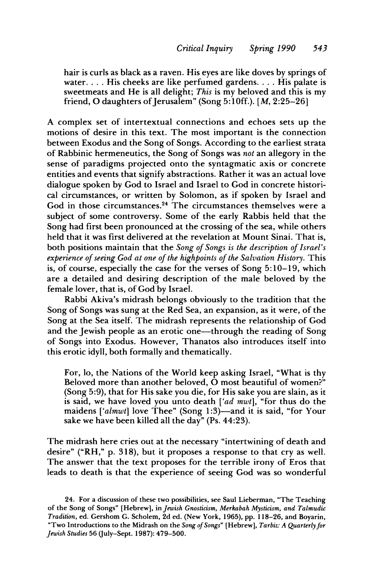**hair is curls as black as a raven. His eyes are like doves by springs of water.... His cheeks are like perfumed gardens.... His palate is sweetmeats and He is all delight; This is my beloved and this is my friend, O daughters of Jerusalem" (Song 5:10ff.). [M, 2:25-26]** 

**A complex set of intertextual connections and echoes sets up the motions of desire in this text. The most important is the connection between Exodus and the Song of Songs. According to the earliest strata of Rabbinic hermeneutics, the Song of Songs was not an allegory in the sense of paradigms projected onto the syntagmatic axis or concrete entities and events that signify abstractions. Rather it was an actual love dialogue spoken by God to Israel and Israel to God in concrete historical circumstances, or written by Solomon, as if spoken by Israel and God in those circumstances.24 The circumstances themselves were a subject of some controversy. Some of the early Rabbis held that the Song had first been pronounced at the crossing of the sea, while others held that it was first delivered at the revelation at Mount Sinai. That is, both positions maintain that the Song of Songs is the description of Israel's experience of seeing God at one of the highpoints of the Salvation History. This is, of course, especially the case for the verses of Song 5:10-19, which are a detailed and desiring description of the male beloved by the female lover, that is, of God by Israel.** 

**Rabbi Akiva's midrash belongs obviously to the tradition that the Song of Songs was sung at the Red Sea, an expansion, as it were, of the Song at the Sea itself. The midrash represents the relationship of God and the Jewish people as an erotic one-through the reading of Song of Songs into Exodus. However, Thanatos also introduces itself into this erotic idyll, both formally and thematically.** 

**For, lo, the Nations of the World keep asking Israel, "What is thy Beloved more than another beloved, O most beautiful of women?" (Song 5:9), that for His sake you die, for His sake you are slain, as it is said, we have loved you unto death ['ad mwt], "for thus do the**  maidens ['almwt] love Thee" (Song 1:3)—and it is said, "for Your **sake we have been killed all the day" (Ps. 44:23).** 

**The midrash here cries out at the necessary "intertwining of death and desire" ("RH," p. 318), but it proposes a response to that cry as well. The answer that the text proposes for the terrible irony of Eros that leads to death is that the experience of seeing God was so wonderful** 

**<sup>24.</sup> For a discussion of these two possibilities, see Saul Lieberman, "The Teaching of the Song of Songs" [Hebrew], in Jewish Gnosticism, Merkabah Mysticism, and Talmudic Tradition, ed. Gershom G. Scholem, 2d ed. (New York, 1965), pp. 118-26, and Boyarin, "Two Introductions to the Midrash on the Song of Songs" [Hebrew], Tarbiz: A Quarterlyfor Jewish Studies 56 (July-Sept. 1987): 479-500.**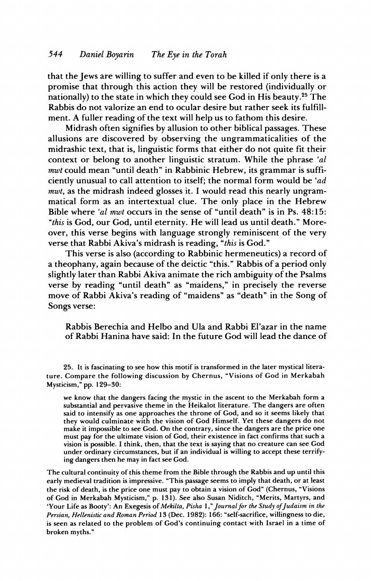**that the Jews are willing to suffer and even to be killed if only there is a promise that through this action they will be restored (individually or nationally) to the state in which they could see God in His beauty.25 The Rabbis do not valorize an end to ocular desire but rather seek its fulfillment. A fuller reading of the text will help us to fathom this desire.** 

**Midrash often signifies by allusion to other biblical passages. These allusions are discovered by observing the ungrammaticalities of the midrashic text, that is, linguistic forms that either do not quite fit their context or belong to another linguistic stratum. While the phrase 'al mwt could mean "until death" in Rabbinic Hebrew, its grammar is sufficiently unusual to call attention to itself; the normal form would be 'ad mwt, as the midrash indeed glosses it. I would read this nearly ungrammatical form as an intertextual clue. The only place in the Hebrew Bible where 'al mwt occurs in the sense of "until death" is in Ps. 48:15: "this is God, our God, until eternity. He will lead us until death." Moreover, this verse begins with language strongly reminiscent of the very verse that Rabbi Akiva's midrash is reading, "this is God."** 

**This verse is also (according to Rabbinic hermeneutics) a record of a theophany, again because of the deictic "this." Rabbis of a period only slightly later than Rabbi Akiva animate the rich ambiguity of the Psalms verse by reading "until death" as "maidens," in precisely the reverse move of Rabbi Akiva's reading of "maidens" as "death" in the Song of Songs verse:** 

**Rabbis Berechia and Helbo and Ula and Rabbi El'azar in the name of Rabbi Hanina have said: In the future God will lead the dance of** 

**25. It is fascinating to see how this motif is transformed in the later mystical literature. Compare the following discussion by Chernus, "Visions of God in Merkabah Mysticism," pp. 129-30:** 

**we know that the dangers facing the mystic in the ascent to the Merkabah form a substantial and pervasive theme in the Heikalot literature. The dangers are often said to intensify as one approaches the throne of God, and so it seems likely that they would culminate with the vision of God Himself. Yet these dangers do not make it impossible to see God. On the contrary, since the dangers are the price one must pay for the ultimate vision of God, their existence in fact confirms that such a vision is possible. I think, then, that the text is saying that no creature can see God under ordinary circumstances, but if an individual is willing to accept these terrifying dangers then he may in fact see God.** 

**The cultural continuity of this theme from the Bible through the Rabbis and up until this early medieval tradition is impressive. "This passage seems to imply that death, or at least the risk of death, is the price one must pay to obtain a vision of God" (Chernus, "Visions of God in Merkabah Mysticism," p. 131). See also Susan Niditch, "Merits, Martyrs, and**  'Your Life as Booty': An Exegesis of Mekilta, Pisha 1," Journal for the Study of Judaism in the **Persian, Hellenistic and Roman Period 13 (Dec. 1982): 166: "self-sacrifice, willingness to die, is seen as related to the problem of God's continuing contact with Israel in a time of broken myths."**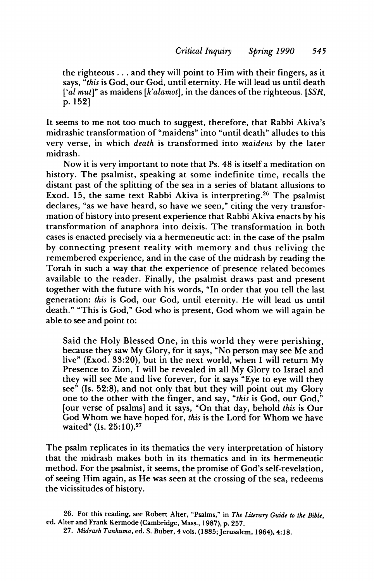**the righteous ... and they will point to Him with their fingers, as it says, "this is God, our God, until eternity. He will lead us until death ['al mut]" as maidens [k'alamot], in the dances of the righteous. [SSR, p. 152]** 

**It seems to me not too much to suggest, therefore, that Rabbi Akiva's midrashic transformation of "maidens" into "until death" alludes to this very verse, in which death is transformed into maidens by the later midrash.** 

**Now it is very important to note that Ps. 48 is itself a meditation on history. The psalmist, speaking at some indefinite time, recalls the distant past of the splitting of the sea in a series of blatant allusions to Exod. 15, the same text Rabbi Akiva is interpreting.26 The psalmist declares, "as we have heard, so have we seen," citing the very transformation of history into present experience that Rabbi Akiva enacts by his transformation of anaphora into deixis. The transformation in both cases is enacted precisely via a hermeneutic act: in the case of the psalm by connecting present reality with memory and thus reliving the remembered experience, and in the case of the midrash by reading the Torah in such a way that the experience of presence related becomes available to the reader. Finally, the psalmist draws past and present together with the future with his words, "In order that you tell the last generation: this is God, our God, until eternity. He will lead us until death." "This is God," God who is present, God whom we will again be able to see and point to:** 

**Said the Holy Blessed One, in this world they were perishing, because they saw My Glory, for it says, "No person may see Me and live" (Exod. 33:20), but in the next world, when I will return My Presence to Zion, I will be revealed in all My Glory to Israel and they will see Me and live forever, for it says "Eye to eye will they see" (Is. 52:8), and not only that but they will point out my Glory one to the other with the finger, and say, "this is God, our God," [our verse of psalms] and it says, "On that day, behold this is Our God Whom we have hoped for, this is the Lord for Whom we have waited" (Is. 25:10).27** 

**The psalm replicates in its thematics the very interpretation of history that the midrash makes both in its thematics and in its hermeneutic method. For the psalmist, it seems, the promise of God's self-revelation, of seeing Him again, as He was seen at the crossing of the sea, redeems the vicissitudes of history.** 

**26. For this reading, see Robert Alter, "Psalms," in The Literary Guide to the Bible, ed. Alter and Frank Kermode (Cambridge, Mass., 1987), p. 257.** 

**<sup>27.</sup> Midrash Tanhuma, ed. S. Buber, 4 vols. (1885;Jerusalem, 1964), 4:18.**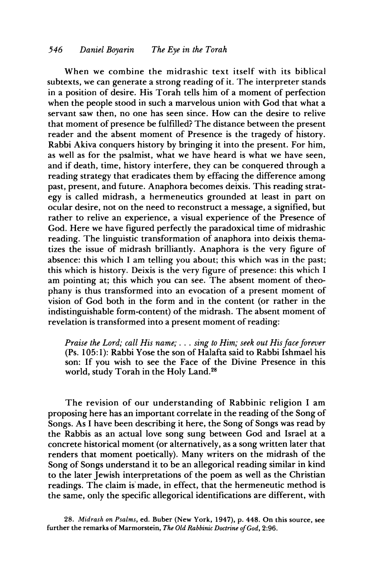**When we combine the midrashic text itself with its biblical subtexts, we can generate a strong reading of it. The interpreter stands in a position of desire. His Torah tells him of a moment of perfection when the people stood in such a marvelous union with God that what a servant saw then, no one has seen since. How can the desire to relive that moment of presence be fulfilled? The distance between the present reader and the absent moment of Presence is the tragedy of history. Rabbi Akiva conquers history by bringing it into the present. For him, as well as for the psalmist, what we have heard is what we have seen, and if death, time, history interfere, they can be conquered through a reading strategy that eradicates them by effacing the difference among past, present, and future. Anaphora becomes deixis. This reading strategy is called midrash, a hermeneutics grounded at least in part on ocular desire, not on the need to reconstruct a message, a signified, but rather to relive an experience, a visual experience of the Presence of God. Here we have figured perfectly the paradoxical time of midrashic reading. The linguistic transformation of anaphora into deixis thematizes the issue of midrash brilliantly. Anaphora is the very figure of absence: this which I am telling you about; this which was in the past; this which is history. Deixis is the very figure of presence: this which I am pointing at; this which you can see. The absent moment of theophany is thus transformed into an evocation of a present moment of vision of God both in the form and in the content (or rather in the indistinguishable form-content) of the midrash. The absent moment of revelation is transformed into a present moment of reading:** 

**Praise the Lord; call His name; . . . sing to Him; seek out His face forever (Ps. 105:1): Rabbi Yose the son of Halafta said to Rabbi Ishmael his son: If you wish to see the Face of the Divine Presence in this world, study Torah in the Holy Land.28** 

**The revision of our understanding of Rabbinic religion I am proposing here has an important correlate in the reading of the Song of Songs. As I have been describing it here, the Song of Songs was read by the Rabbis as an actual love song sung between God and Israel at a concrete historical moment (or alternatively, as a song written later that renders that moment poetically). Many writers on the midrash of the Song of Songs understand it to be an allegorical reading similar in kind to the later Jewish interpretations of the poem as well as the Christian readings. The claim is made, in effect, that the hermeneutic method is the same, only the specific allegorical identifications are different, with** 

**28. Midrash on Psalms, ed. Buber (New York, 1947), p. 448. On this source, see further the remarks of Marmorstein, The Old Rabbinic Doctrine of God, 2:96.**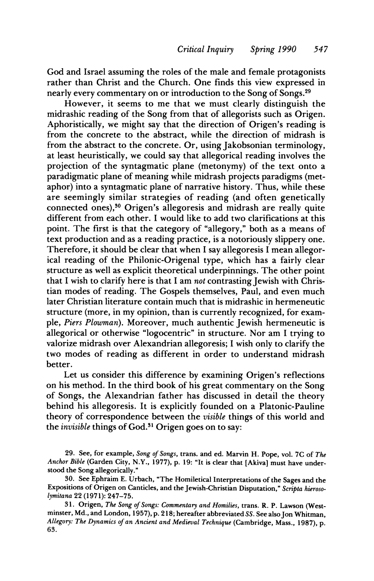**God and Israel assuming the roles of the male and female protagonists rather than Christ and the Church. One finds this view expressed in nearly every commentary on or introduction to the Song of Songs.29** 

**However, it seems to me that we must clearly distinguish the midrashic reading of the Song from that of allegorists such as Origen. Aphoristically, we might say that the direction of Origen's reading is from the concrete to the abstract, while the direction of midrash is from the abstract to the concrete. Or, using Jakobsonian terminology, at least heuristically, we could say that allegorical reading involves the projection of the syntagmatic plane (metonymy) of the text onto a paradigmatic plane of meaning while midrash projects paradigms (metaphor) into a syntagmatic plane of narrative history. Thus, while these are seemingly similar strategies of reading (and often genetically connected ones),30 Origen's allegoresis and midrash are really quite different from each other. I would like to add two clarifications at this point. The first is that the category of "allegory," both as a means of text production and as a reading practice, is a notoriously slippery one. Therefore, it should be clear that when I say allegoresis I mean allegorical reading of the Philonic-Origenal type, which has a fairly clear structure as well as explicit theoretical underpinnings. The other point that I wish to clarify here is that I am not contrasting Jewish with Christian modes of reading. The Gospels themselves, Paul, and even much later Christian literature contain much that is midrashic in hermeneutic structure (more, in my opinion, than is currently recognized, for example, Piers Plowman). Moreover, much authentic Jewish hermeneutic is allegorical or otherwise "logocentric" in structure. Nor am I trying to valorize midrash over Alexandrian allegoresis; I wish only to clarify the two modes of reading as different in order to understand midrash better.** 

**Let us consider this difference by examining Origen's reflections on his method. In the third book of his great commentary on the Song of Songs, the Alexandrian father has discussed in detail the theory behind his allegoresis. It is explicitly founded on a Platonic-Pauline theory of correspondence between the visible things of this world and the invisible things of God.31 Origen goes on to say:** 

**29. See, for example, Song of Songs, trans. and ed. Marvin H. Pope, vol. 7C of The Anchor Bible (Garden City, N.Y., 1977), p. 19: "It is clear that [Akiva] must have understood the Song allegorically."** 

**30. See Ephraim E. Urbach, "The Homiletical Interpretations of the Sages and the Expositions of Origen on Canticles, and the Jewish-Christian Disputation," Scripta hierosolymitana 22 (1971): 247-75.** 

**31. Origen, The Song of Songs: Commentary and Homilies, trans. R. P. Lawson (West**minster, Md., and London, 1957), p. 218; hereafter abbreviated SS. See also Jon Whitman, **Allegory: The Dynamics of an Ancient and Medieval Technique (Cambridge, Mass., 1987), p. 63.**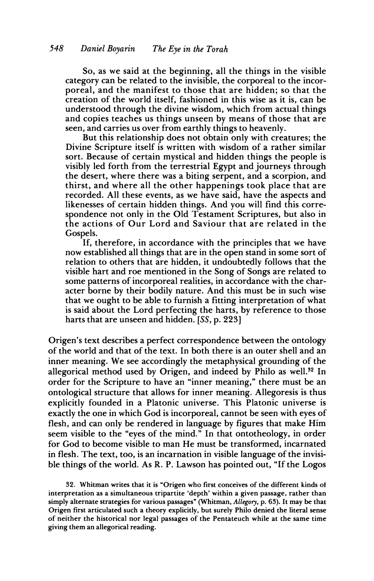**So, as we said at the beginning, all the things in the visible category can be related to the invisible, the corporeal to the incorporeal, and the manifest to those that are hidden; so that the creation of the world itself, fashioned in this wise as it is, can be understood through the divine wisdom, which from actual things and copies teaches us things unseen by means of those that are seen, and carries us over from earthly things to heavenly.** 

**But this relationship does not obtain only with creatures; the Divine Scripture itself is written with wisdom of a rather similar sort. Because of certain mystical and hidden things the people is visibly led forth from the terrestrial Egypt and journeys through the desert, where there was a biting serpent, and a scorpion, and thirst, and where all the other happenings took place that are recorded. All these events, as we have said, have the aspects and likenesses of certain hidden things. And you will find this correspondence not only in the Old Testament Scriptures, but also in the actions of Our Lord and Saviour that are related in the Gospels.** 

**If, therefore, in accordance with the principles that we have now established all things that are in the open stand in some sort of relation to others that are hidden, it undoubtedly follows that the visible hart and roe mentioned in the Song of Songs are related to some patterns of incorporeal realities, in accordance with the character borne by their bodily nature. And this must be in such wise that we ought to be able to furnish a fitting interpretation of what is said about the Lord perfecting the harts, by reference to those harts that are unseen and hidden. [SS, p. 223]** 

**Origen's text describes a perfect correspondence between the ontology of the world and that of the text. In both there is an outer shell and an inner meaning. We see accordingly the metaphysical grounding of the allegorical method used by Origen, and indeed by Philo as well.32 In order for the Scripture to have an "inner meaning," there must be an ontological structure that allows for inner meaning. Allegoresis is thus explicitly founded in a Platonic universe. This Platonic universe is exactly the one in which God is incorporeal, cannot be seen with eyes of flesh, and can only be rendered in language by figures that make Him seem visible to the "eyes of the mind." In that ontotheology, in order for God to become visible to man He must be transformed, incarnated in flesh. The text, too, is an incarnation in visible language of the invisible things of the world. As R. P. Lawson has pointed out, "If the Logos** 

**32. Whitman writes that it is "Origen who first conceives of the different kinds of interpretation as a simultaneous tripartite 'depth' within a given passage, rather than simply alternate strategies for various passages" (Whitman, Allegory, p. 63). It may be that Origen first articulated such a theory explicitly, but surely Philo denied the literal sense of neither the historical nor legal passages of the Pentateuch while at the same time giving them an allegorical reading.**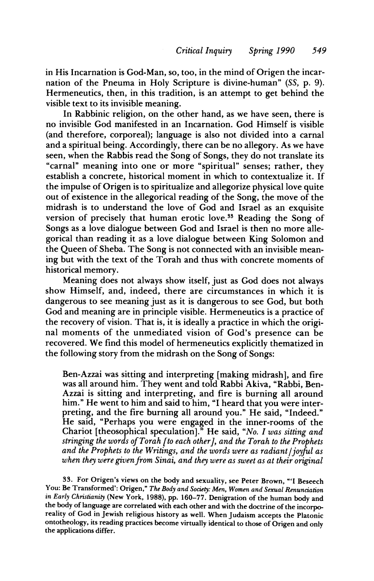**in His Incarnation is God-Man, so, too, in the mind of Origen the incarnation of the Pneuma in Holy Scripture is divine-human" (SS, p. 9). Hermeneutics, then, in this tradition, is an attempt to get behind the visible text to its invisible meaning.** 

**In Rabbinic religion, on the other hand, as we have seen, there is no invisible God manifested in an Incarnation. God Himself is visible (and therefore, corporeal); language is also not divided into a carnal and a spiritual being. Accordingly, there can be no allegory. As we have seen, when the Rabbis read the Song of Songs, they do not translate its "carnal" meaning into one or more "spiritual" senses; rather, they establish a concrete, historical moment in which to contextualize it. If the impulse of Origen is to spiritualize and allegorize physical love quite out of existence in the allegorical reading of the Song, the move of the midrash is to understand the love of God and Israel as an exquisite version of precisely that human erotic love.33 Reading the Song of Songs as a love dialogue between God and Israel is then no more allegorical than reading it as a love dialogue between King Solomon and the Queen of Sheba. The Song is not connected with an invisible meaning but with the text of the Torah and thus with concrete moments of historical memory.** 

**Meaning does not always show itself, just as God does not always show Himself, and, indeed, there are circumstances in which it is dangerous to see meaning just as it is dangerous to see God, but both God and meaning are in principle visible. Hermeneutics is a practice of the recovery of vision. That is, it is ideally a practice in which the original moments of the unmediated vision of God's presence can be recovered. We find this model of hermeneutics explicitly thematized in the following story from the midrash on the Song of Songs:** 

**Ben-Azzai was sitting and interpreting [making midrash], and fire was all around him. They went and told Rabbi Akiva, "Rabbi, Ben-Azzai is sitting and interpreting, and fire is burning all around him." He went to him and said to him, "I heard that you were interpreting, and the fire burning all around you." He said, "Indeed." He said, "Perhaps you were engaged in the inner-rooms of the Chariot [theosophical speculation]." He said, "No. I was sitting and stringing the words of Torah [to each other], and the Torah to the Prophets and the Prophets to the Writings, and the words were as radiant/joyful as when they were given from Sinai, and they were as sweet as at their original** 

**33. For Origen's views on the body and sexuality, see Peter Brown, "'I Beseech You: Be Transformed': Origen," The Body and Society: Men, Women and Sexual Renunciation in Early Christianity (New York, 1988), pp. 160-77. Denigration of the human body and the body of language are correlated with each other and with the doctrine of the incorporeality of God in Jewish religious history as well. When Judaism accepts the Platonic ontotheology, its reading practices become virtually identical to those of Origen and only the applications differ.**